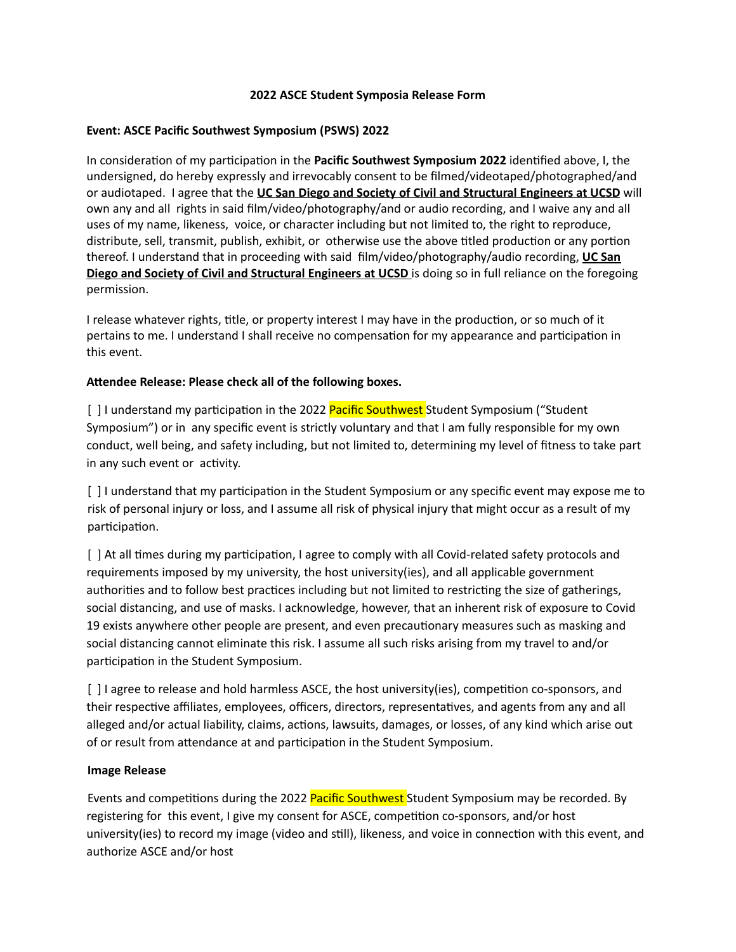## **2022 ASCE Student Symposia Release Form**

## **Event: ASCE Pacific Southwest Symposium (PSWS) 2022**

In consideration of my participation in the **Pacific Southwest Symposium 2022** identified above, I, the undersigned, do hereby expressly and irrevocably consent to be filmed/videotaped/photographed/and or audiotaped. I agree that the **UC San Diego and Society of Civil and Structural Engineers at UCSD** will own any and all rights in said film/video/photography/and or audio recording, and I waive any and all uses of my name, likeness, voice, or character including but not limited to, the right to reproduce, distribute, sell, transmit, publish, exhibit, or otherwise use the above titled production or any portion thereof. I understand that in proceeding with said film/video/photography/audio recording, **UC San Diego and Society of Civil and Structural Engineers at UCSD** is doing so in full reliance on the foregoing permission.

I release whatever rights, title, or property interest I may have in the production, or so much of it pertains to me. I understand I shall receive no compensation for my appearance and participation in this event.

## **Aendee Release: Please check all of the following boxes.**

[ ] I understand my participation in the 2022 Pacific Southwest Student Symposium ("Student Symposium") or in any specific event is strictly voluntary and that I am fully responsible for my own conduct, well being, and safety including, but not limited to, determining my level of fitness to take part in any such event or activity.

[ ] I understand that my participation in the Student Symposium or any specific event may expose me to risk of personal injury or loss, and I assume all risk of physical injury that might occur as a result of my participation.

[ ] At all times during my participation, I agree to comply with all Covid-related safety protocols and requirements imposed by my university, the host university(ies), and all applicable government authorities and to follow best practices including but not limited to restricting the size of gatherings, social distancing, and use of masks. I acknowledge, however, that an inherent risk of exposure to Covid 19 exists anywhere other people are present, and even precautionary measures such as masking and social distancing cannot eliminate this risk. I assume all such risks arising from my travel to and/or participation in the Student Symposium.

[ ] I agree to release and hold harmless ASCE, the host university(ies), competition co-sponsors, and their respective affiliates, employees, officers, directors, representatives, and agents from any and all alleged and/or actual liability, claims, actions, lawsuits, damages, or losses, of any kind which arise out of or result from attendance at and participation in the Student Symposium.

## **Image Release**

Events and competitions during the 2022 Pacific Southwest Student Symposium may be recorded. By registering for this event, I give my consent for ASCE, competition co-sponsors, and/or host university(ies) to record my image (video and still), likeness, and voice in connection with this event, and authorize ASCE and/or host